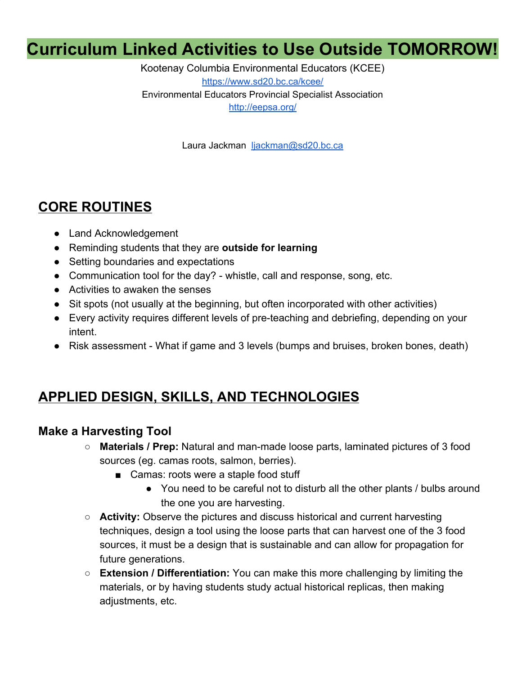# **Curriculum Linked Activities to Use Outside TOMORROW!**

Kootenay Columbia Environmental Educators (KCEE) <https://www.sd20.bc.ca/kcee/> Environmental Educators Provincial Specialist Association <http://eepsa.org/>

Laura Jackman [ljackman@sd20.bc.ca](mailto:ljackman@sd20.bc.ca)

## **CORE ROUTINES**

- Land Acknowledgement
- Reminding students that they are **outside for learning**
- Setting boundaries and expectations
- Communication tool for the day? whistle, call and response, song, etc.
- Activities to awaken the senses
- Sit spots (not usually at the beginning, but often incorporated with other activities)
- Every activity requires different levels of pre-teaching and debriefing, depending on your intent.
- Risk assessment What if game and 3 levels (bumps and bruises, broken bones, death)

## **APPLIED DESIGN, SKILLS, AND TECHNOLOGIES**

#### **Make a Harvesting Tool**

- **Materials / Prep:** Natural and man-made loose parts, laminated pictures of 3 food sources (eg. camas roots, salmon, berries).
	- Camas: roots were a staple food stuff
		- You need to be careful not to disturb all the other plants / bulbs around the one you are harvesting.
- **Activity:** Observe the pictures and discuss historical and current harvesting techniques, design a tool using the loose parts that can harvest one of the 3 food sources, it must be a design that is sustainable and can allow for propagation for future generations.
- **Extension / Differentiation:** You can make this more challenging by limiting the materials, or by having students study actual historical replicas, then making adjustments, etc.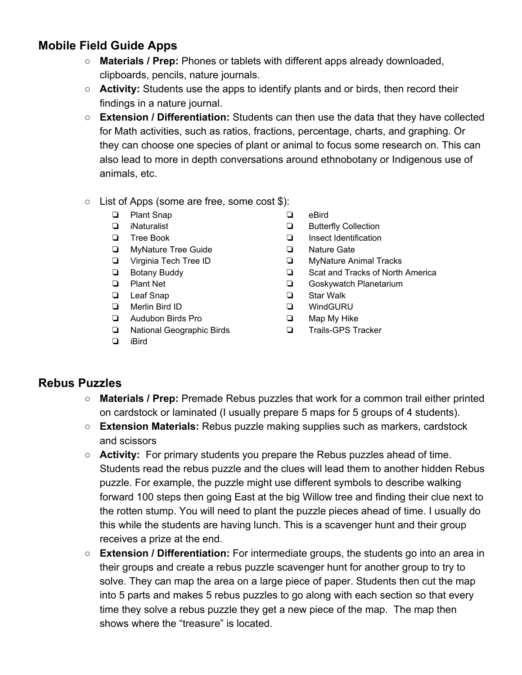## **Mobile Field Guide Apps**

- **Materials / Prep:** Phones or tablets with different apps already downloaded, clipboards, pencils, nature journals.
- **Activity:** Students use the apps to identify plants and or birds, then record their findings in a nature journal.
- **Extension / Differentiation:** Students can then use the data that they have collected for Math activities, such as ratios, fractions, percentage, charts, and graphing. Or they can choose one species of plant or animal to focus some research on. This can also lead to more in depth conversations around ethnobotany or Indigenous use of animals, etc.
- List of Apps (some are free, some cost \$):
	- ❏ Plant Snap
	- ❏ iNaturalist
	- ❏ Tree Book
	- ❏ MyNature Tree Guide
	- ❏ Virginia Tech Tree ID
	- ❏ Botany Buddy
	- ❏ Plant Net
	- ❏ Leaf Snap
	- ❏ Merlin Bird ID
	- ❏ Audubon Birds Pro
	- ❏ National Geographic Birds
- ❏ eBird
- ❏ Butterfly Collection
- ❏ Insect Identification
- ❏ Nature Gate
- ❏ MyNature Animal Tracks
- ❏ Scat and Tracks of North America
- ❏ Goskywatch Planetarium
- ❏ Star Walk
- ❏ WindGURU
- ❏ Map My Hike
- ❏ Trails-GPS Tracker

❏ iBird

#### **Rebus Puzzles**

- **Materials / Prep:** Premade Rebus puzzles that work for a common trail either printed on cardstock or laminated (I usually prepare 5 maps for 5 groups of 4 students).
- **Extension Materials:** Rebus puzzle making supplies such as markers, cardstock and scissors
- **Activity:** For primary students you prepare the Rebus puzzles ahead of time. Students read the rebus puzzle and the clues will lead them to another hidden Rebus puzzle. For example, the puzzle might use different symbols to describe walking forward 100 steps then going East at the big Willow tree and finding their clue next to the rotten stump. You will need to plant the puzzle pieces ahead of time. I usually do this while the students are having lunch. This is a scavenger hunt and their group receives a prize at the end.
- **Extension / Differentiation:** For intermediate groups, the students go into an area in their groups and create a rebus puzzle scavenger hunt for another group to try to solve. They can map the area on a large piece of paper. Students then cut the map into 5 parts and makes 5 rebus puzzles to go along with each section so that every time they solve a rebus puzzle they get a new piece of the map. The map then shows where the "treasure" is located.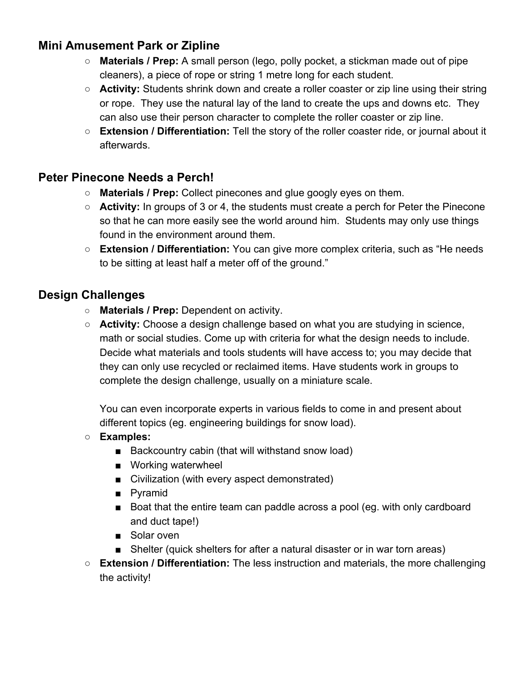### **Mini Amusement Park or Zipline**

- **Materials / Prep:** A small person (lego, polly pocket, a stickman made out of pipe cleaners), a piece of rope or string 1 metre long for each student.
- **Activity:** Students shrink down and create a roller coaster or zip line using their string or rope. They use the natural lay of the land to create the ups and downs etc. They can also use their person character to complete the roller coaster or zip line.
- **Extension / Differentiation:** Tell the story of the roller coaster ride, or journal about it afterwards.

#### **Peter Pinecone Needs a Perch!**

- **○ Materials / Prep:** Collect pinecones and glue googly eyes on them.
- **○ Activity:** In groups of 3 or 4, the students must create a perch for Peter the Pinecone so that he can more easily see the world around him. Students may only use things found in the environment around them.
- **Extension / Differentiation:** You can give more complex criteria, such as "He needs to be sitting at least half a meter off of the ground."

#### **Design Challenges**

- **Materials / Prep:** Dependent on activity.
- **Activity:** Choose a design challenge based on what you are studying in science, math or social studies. Come up with criteria for what the design needs to include. Decide what materials and tools students will have access to; you may decide that they can only use recycled or reclaimed items. Have students work in groups to complete the design challenge, usually on a miniature scale.

You can even incorporate experts in various fields to come in and present about different topics (eg. engineering buildings for snow load).

- **○ Examples:**
	- Backcountry cabin (that will withstand snow load)
	- Working waterwheel
	- Civilization (with every aspect demonstrated)
	- Pyramid
	- Boat that the entire team can paddle across a pool (eg. with only cardboard and duct tape!)
	- Solar oven
	- Shelter (quick shelters for after a natural disaster or in war torn areas)
- **Extension / Differentiation:** The less instruction and materials, the more challenging the activity!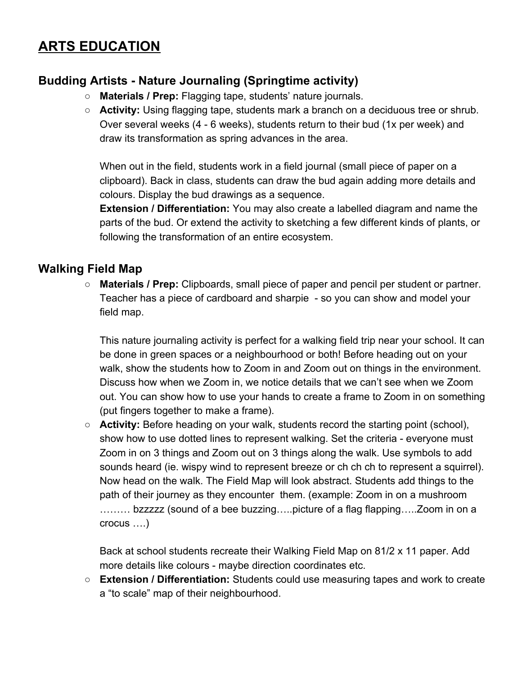## **ARTS EDUCATION**

## **Budding Artists - Nature Journaling (Springtime activity)**

- **Materials / Prep:** Flagging tape, students' nature journals.
- **Activity:** Using flagging tape, students mark a branch on a deciduous tree or shrub. Over several weeks (4 - 6 weeks), students return to their bud (1x per week) and draw its transformation as spring advances in the area.

When out in the field, students work in a field journal (small piece of paper on a clipboard). Back in class, students can draw the bud again adding more details and colours. Display the bud drawings as a sequence.

**Extension / Differentiation:** You may also create a labelled diagram and name the parts of the bud. Or extend the activity to sketching a few different kinds of plants, or following the transformation of an entire ecosystem.

#### **Walking Field Map**

○ **Materials / Prep:** Clipboards, small piece of paper and pencil per student or partner. Teacher has a piece of cardboard and sharpie - so you can show and model your field map.

This nature journaling activity is perfect for a walking field trip near your school. It can be done in green spaces or a neighbourhood or both! Before heading out on your walk, show the students how to Zoom in and Zoom out on things in the environment. Discuss how when we Zoom in, we notice details that we can't see when we Zoom out. You can show how to use your hands to create a frame to Zoom in on something (put fingers together to make a frame).

○ **Activity:** Before heading on your walk, students record the starting point (school), show how to use dotted lines to represent walking. Set the criteria - everyone must Zoom in on 3 things and Zoom out on 3 things along the walk. Use symbols to add sounds heard (ie. wispy wind to represent breeze or ch ch ch to represent a squirrel). Now head on the walk. The Field Map will look abstract. Students add things to the path of their journey as they encounter them. (example: Zoom in on a mushroom ……… bzzzzz (sound of a bee buzzing…..picture of a flag flapping…..Zoom in on a crocus ….)

Back at school students recreate their Walking Field Map on 81/2 x 11 paper. Add more details like colours - maybe direction coordinates etc.

○ **Extension / Differentiation:** Students could use measuring tapes and work to create a "to scale" map of their neighbourhood.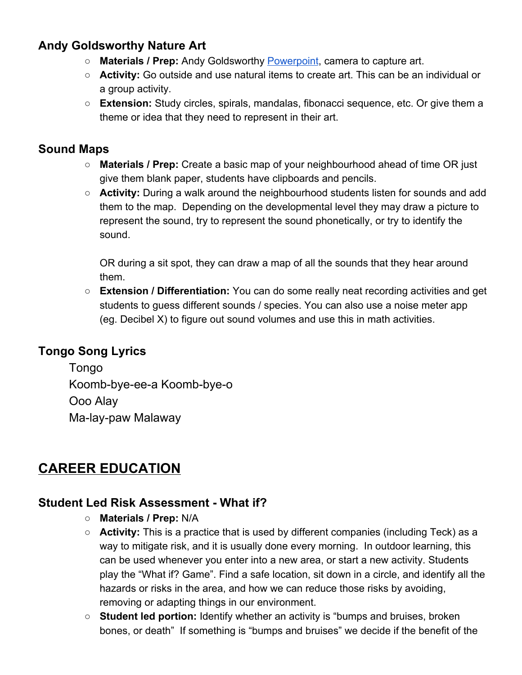## **Andy Goldsworthy Nature Art**

- **Materials / Prep:** Andy Goldsworthy [Powerpoint,](https://drive.google.com/file/d/1VQbpgqeL7ts-uP79EjOW55HVC1g8KeZk/view?usp=sharing) camera to capture art.
- **Activity:** Go outside and use natural items to create art. This can be an individual or a group activity.
- **Extension:** Study circles, spirals, mandalas, fibonacci sequence, etc. Or give them a theme or idea that they need to represent in their art.

### **Sound Maps**

- **Materials / Prep:** Create a basic map of your neighbourhood ahead of time OR just give them blank paper, students have clipboards and pencils.
- **Activity:** During a walk around the neighbourhood students listen for sounds and add them to the map. Depending on the developmental level they may draw a picture to represent the sound, try to represent the sound phonetically, or try to identify the sound.

OR during a sit spot, they can draw a map of all the sounds that they hear around them.

○ **Extension / Differentiation:** You can do some really neat recording activities and get students to guess different sounds / species. You can also use a noise meter app (eg. Decibel X) to figure out sound volumes and use this in math activities.

## **Tongo Song Lyrics**

Tongo Koomb-bye-ee-a Koomb-bye-o Ooo Alay Ma-lay-paw Malaway

## **CAREER EDUCATION**

#### **Student Led Risk Assessment - What if?**

- **Materials / Prep:** N/A
- **Activity:** This is a practice that is used by different companies (including Teck) as a way to mitigate risk, and it is usually done every morning. In outdoor learning, this can be used whenever you enter into a new area, or start a new activity. Students play the "What if? Game". Find a safe location, sit down in a circle, and identify all the hazards or risks in the area, and how we can reduce those risks by avoiding, removing or adapting things in our environment.
- **Student led portion:** Identify whether an activity is "bumps and bruises, broken bones, or death" If something is "bumps and bruises" we decide if the benefit of the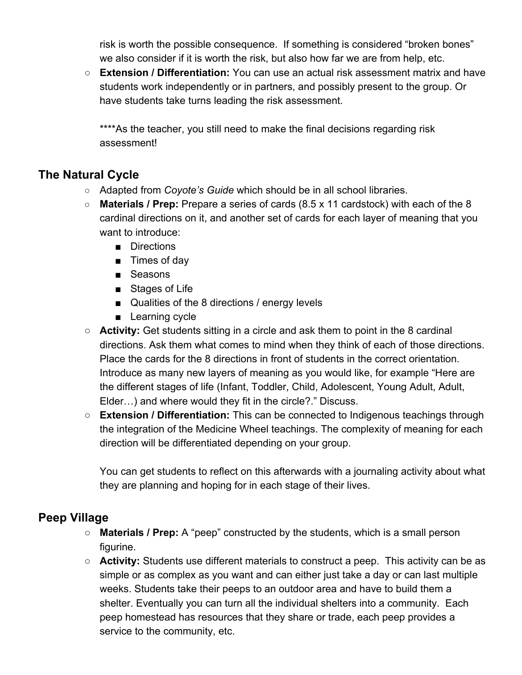risk is worth the possible consequence. If something is considered "broken bones" we also consider if it is worth the risk, but also how far we are from help, etc.

○ **Extension / Differentiation:** You can use an actual risk assessment matrix and have students work independently or in partners, and possibly present to the group. Or have students take turns leading the risk assessment.

\*\*\*\*As the teacher, you still need to make the final decisions regarding risk assessment!

### **The Natural Cycle**

- Adapted from *Coyote's Guide* which should be in all school libraries.
- **Materials / Prep:** Prepare a series of cards (8.5 x 11 cardstock) with each of the 8 cardinal directions on it, and another set of cards for each layer of meaning that you want to introduce:
	- Directions
	- Times of day
	- Seasons
	- Stages of Life
	- Qualities of the 8 directions / energy levels
	- Learning cycle
- **Activity:** Get students sitting in a circle and ask them to point in the 8 cardinal directions. Ask them what comes to mind when they think of each of those directions. Place the cards for the 8 directions in front of students in the correct orientation. Introduce as many new layers of meaning as you would like, for example "Here are the different stages of life (Infant, Toddler, Child, Adolescent, Young Adult, Adult, Elder…) and where would they fit in the circle?." Discuss.
- **Extension / Differentiation:** This can be connected to Indigenous teachings through the integration of the Medicine Wheel teachings. The complexity of meaning for each direction will be differentiated depending on your group.

You can get students to reflect on this afterwards with a journaling activity about what they are planning and hoping for in each stage of their lives.

#### **Peep Village**

- **○ Materials / Prep:** A "peep" constructed by the students, which is a small person figurine.
- **○ Activity:** Students use different materials to construct a peep. This activity can be as simple or as complex as you want and can either just take a day or can last multiple weeks. Students take their peeps to an outdoor area and have to build them a shelter. Eventually you can turn all the individual shelters into a community. Each peep homestead has resources that they share or trade, each peep provides a service to the community, etc.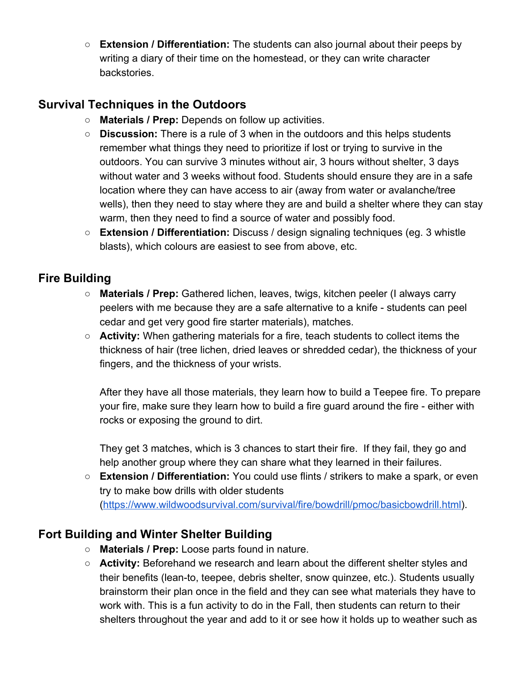○ **Extension / Differentiation:** The students can also journal about their peeps by writing a diary of their time on the homestead, or they can write character backstories.

#### **Survival Techniques in the Outdoors**

- **Materials / Prep:** Depends on follow up activities.
- **Discussion:** There is a rule of 3 when in the outdoors and this helps students remember what things they need to prioritize if lost or trying to survive in the outdoors. You can survive 3 minutes without air, 3 hours without shelter, 3 days without water and 3 weeks without food. Students should ensure they are in a safe location where they can have access to air (away from water or avalanche/tree wells), then they need to stay where they are and build a shelter where they can stay warm, then they need to find a source of water and possibly food.
- **Extension / Differentiation:** Discuss / design signaling techniques (eg. 3 whistle blasts), which colours are easiest to see from above, etc.

#### **Fire Building**

- **○ Materials / Prep:** Gathered lichen, leaves, twigs, kitchen peeler (I always carry peelers with me because they are a safe alternative to a knife - students can peel cedar and get very good fire starter materials), matches.
- **○ Activity:** When gathering materials for a fire, teach students to collect items the thickness of hair (tree lichen, dried leaves or shredded cedar), the thickness of your fingers, and the thickness of your wrists.

After they have all those materials, they learn how to build a Teepee fire. To prepare your fire, make sure they learn how to build a fire guard around the fire - either with rocks or exposing the ground to dirt.

They get 3 matches, which is 3 chances to start their fire. If they fail, they go and help another group where they can share what they learned in their failures.

○ **Extension / Differentiation:** You could use flints / strikers to make a spark, or even try to make bow drills with older students ([https://www.wildwoodsurvival.com/survival/fire/bowdrill/pmoc/basicbowdrill.html\)](https://www.wildwoodsurvival.com/survival/fire/bowdrill/pmoc/basicbowdrill.html).

#### **Fort Building and Winter Shelter Building**

- **Materials / Prep:** Loose parts found in nature.
- **Activity:** Beforehand we research and learn about the different shelter styles and their benefits (lean-to, teepee, debris shelter, snow quinzee, etc.). Students usually brainstorm their plan once in the field and they can see what materials they have to work with. This is a fun activity to do in the Fall, then students can return to their shelters throughout the year and add to it or see how it holds up to weather such as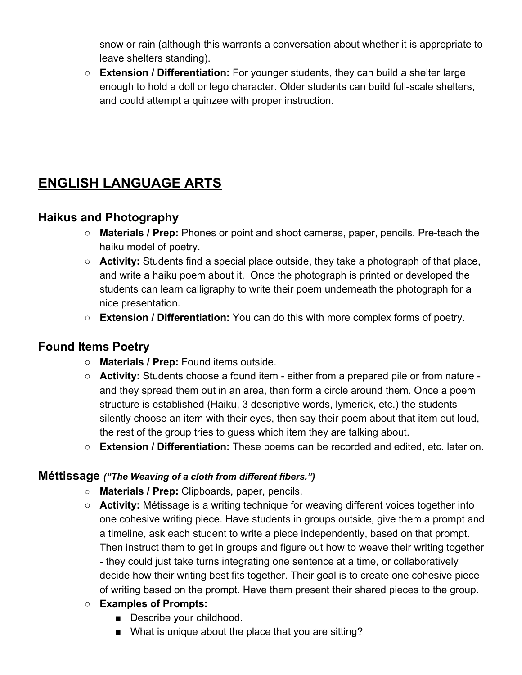snow or rain (although this warrants a conversation about whether it is appropriate to leave shelters standing).

○ **Extension / Differentiation:** For younger students, they can build a shelter large enough to hold a doll or lego character. Older students can build full-scale shelters, and could attempt a quinzee with proper instruction.

## **ENGLISH LANGUAGE ARTS**

#### **Haikus and Photography**

- **○ Materials / Prep:** Phones or point and shoot cameras, paper, pencils. Pre-teach the haiku model of poetry.
- **○ Activity:** Students find a special place outside, they take a photograph of that place, and write a haiku poem about it. Once the photograph is printed or developed the students can learn calligraphy to write their poem underneath the photograph for a nice presentation.
- **Extension / Differentiation:** You can do this with more complex forms of poetry.

#### **Found Items Poetry**

- **Materials / Prep:** Found items outside.
- **Activity:** Students choose a found item either from a prepared pile or from nature and they spread them out in an area, then form a circle around them. Once a poem structure is established (Haiku, 3 descriptive words, lymerick, etc.) the students silently choose an item with their eyes, then say their poem about that item out loud, the rest of the group tries to guess which item they are talking about.
- **Extension / Differentiation:** These poems can be recorded and edited, etc. later on.

#### **Méttissage** *("The Weaving of a cloth from different fibers.")*

- **○ Materials / Prep:** Clipboards, paper, pencils.
- **Activity:** Métissage is a writing technique for weaving different voices together into one cohesive writing piece. Have students in groups outside, give them a prompt and a timeline, ask each student to write a piece independently, based on that prompt. Then instruct them to get in groups and figure out how to weave their writing together - they could just take turns integrating one sentence at a time, or collaboratively decide how their writing best fits together. Their goal is to create one cohesive piece of writing based on the prompt. Have them present their shared pieces to the group.
- **○ Examples of Prompts:**
	- Describe your childhood.
	- What is unique about the place that you are sitting?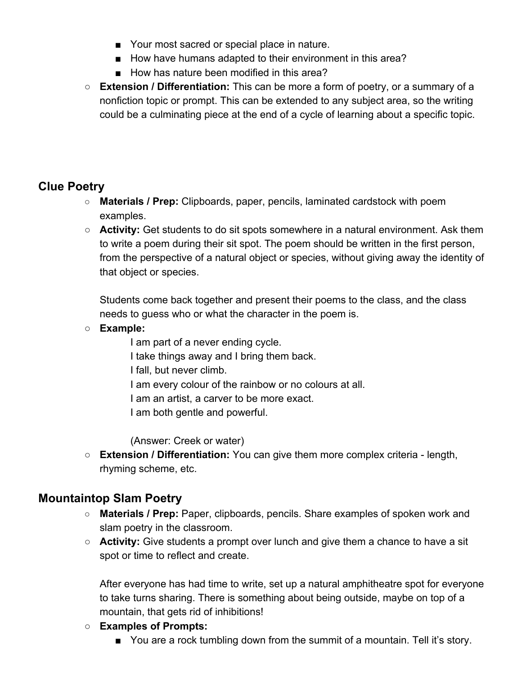- Your most sacred or special place in nature.
- How have humans adapted to their environment in this area?
- How has nature been modified in this area?
- **Extension / Differentiation:** This can be more a form of poetry, or a summary of a nonfiction topic or prompt. This can be extended to any subject area, so the writing could be a culminating piece at the end of a cycle of learning about a specific topic.

#### **Clue Poetry**

- **○ Materials / Prep:** Clipboards, paper, pencils, laminated cardstock with poem examples.
- **Activity:** Get students to do sit spots somewhere in a natural environment. Ask them to write a poem during their sit spot. The poem should be written in the first person, from the perspective of a natural object or species, without giving away the identity of that object or species.

Students come back together and present their poems to the class, and the class needs to guess who or what the character in the poem is.

- **○ Example:**
	- I am part of a never ending cycle. I take things away and I bring them back. I fall, but never climb. I am every colour of the rainbow or no colours at all. I am an artist, a carver to be more exact. I am both gentle and powerful.

(Answer: Creek or water)

○ **Extension / Differentiation:** You can give them more complex criteria - length, rhyming scheme, etc.

## **Mountaintop Slam Poetry**

- **Materials / Prep:** Paper, clipboards, pencils. Share examples of spoken work and slam poetry in the classroom.
- **Activity:** Give students a prompt over lunch and give them a chance to have a sit spot or time to reflect and create.

After everyone has had time to write, set up a natural amphitheatre spot for everyone to take turns sharing. There is something about being outside, maybe on top of a mountain, that gets rid of inhibitions!

- **Examples of Prompts:**
	- You are a rock tumbling down from the summit of a mountain. Tell it's story.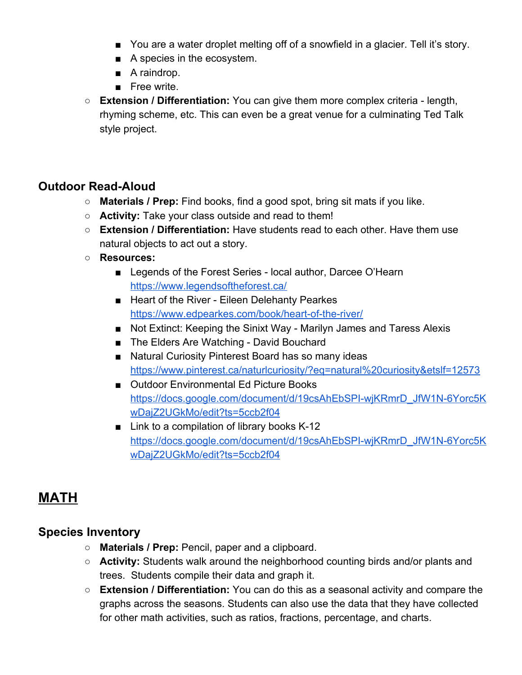- You are a water droplet melting off of a snowfield in a glacier. Tell it's story.
- A species in the ecosystem.
- A raindrop.
- Free write.
- **Extension / Differentiation:** You can give them more complex criteria length, rhyming scheme, etc. This can even be a great venue for a culminating Ted Talk style project.

#### **Outdoor Read-Aloud**

- **Materials / Prep:** Find books, find a good spot, bring sit mats if you like.
- **Activity:** Take your class outside and read to them!
- **○ Extension / Differentiation:** Have students read to each other. Have them use natural objects to act out a story.
- **○ Resources:**
	- Legends of the Forest Series local author, Darcee O'Hearn <https://www.legendsoftheforest.ca/>
	- Heart of the River Eileen Delehanty Pearkes <https://www.edpearkes.com/book/heart-of-the-river/>
	- Not Extinct: Keeping the Sinixt Way Marilyn James and Taress Alexis
	- The Elders Are Watching David Bouchard
	- Natural Curiosity Pinterest Board has so many ideas <https://www.pinterest.ca/naturlcuriosity/?eq=natural%20curiosity&etslf=12573>
	- Outdoor Environmental Ed Picture Books [https://docs.google.com/document/d/19csAhEbSPI-wjKRmrD\\_JfW1N-6Yorc5K](https://docs.google.com/document/d/19csAhEbSPI-wjKRmrD_JfW1N-6Yorc5KwDajZ2UGkMo/edit?ts=5ccb2f04) [wDajZ2UGkMo/edit?ts=5ccb2f04](https://docs.google.com/document/d/19csAhEbSPI-wjKRmrD_JfW1N-6Yorc5KwDajZ2UGkMo/edit?ts=5ccb2f04)
	- Link to a compilation of library books K-12 [https://docs.google.com/document/d/19csAhEbSPI-wjKRmrD\\_JfW1N-6Yorc5K](https://docs.google.com/document/d/19csAhEbSPI-wjKRmrD_JfW1N-6Yorc5KwDajZ2UGkMo/edit?ts=5ccb2f04) [wDajZ2UGkMo/edit?ts=5ccb2f04](https://docs.google.com/document/d/19csAhEbSPI-wjKRmrD_JfW1N-6Yorc5KwDajZ2UGkMo/edit?ts=5ccb2f04)

## **MATH**

#### **Species Inventory**

- **Materials / Prep:** Pencil, paper and a clipboard.
- **Activity:** Students walk around the neighborhood counting birds and/or plants and trees. Students compile their data and graph it.
- **Extension / Differentiation:** You can do this as a seasonal activity and compare the graphs across the seasons. Students can also use the data that they have collected for other math activities, such as ratios, fractions, percentage, and charts.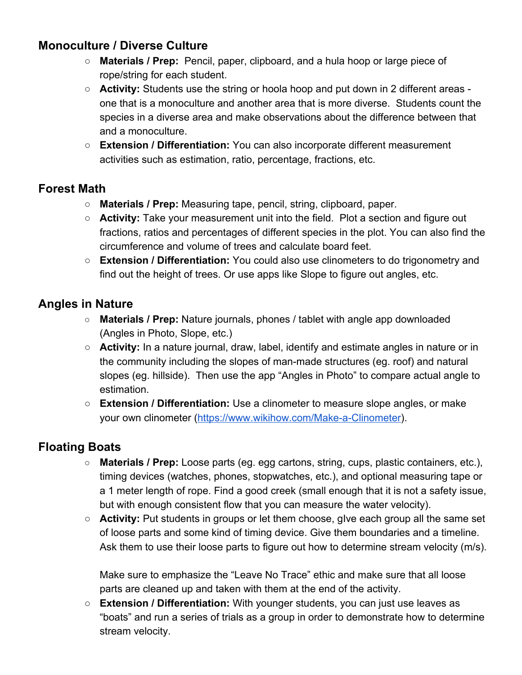### **Monoculture / Diverse Culture**

- **Materials / Prep:** Pencil, paper, clipboard, and a hula hoop or large piece of rope/string for each student.
- **Activity:** Students use the string or hoola hoop and put down in 2 different areas one that is a monoculture and another area that is more diverse. Students count the species in a diverse area and make observations about the difference between that and a monoculture.
- **Extension / Differentiation:** You can also incorporate different measurement activities such as estimation, ratio, percentage, fractions, etc.

### **Forest Math**

- **Materials / Prep:** Measuring tape, pencil, string, clipboard, paper.
- **Activity:** Take your measurement unit into the field. Plot a section and figure out fractions, ratios and percentages of different species in the plot. You can also find the circumference and volume of trees and calculate board feet.
- **Extension / Differentiation:** You could also use clinometers to do trigonometry and find out the height of trees. Or use apps like Slope to figure out angles, etc.

#### **Angles in Nature**

- **Materials / Prep:** Nature journals, phones / tablet with angle app downloaded (Angles in Photo, Slope, etc.)
- **Activity:** In a nature journal, draw, label, identify and estimate angles in nature or in the community including the slopes of man-made structures (eg. roof) and natural slopes (eg. hillside). Then use the app "Angles in Photo" to compare actual angle to estimation.
- **Extension / Differentiation:** Use a clinometer to measure slope angles, or make your own clinometer (<https://www.wikihow.com/Make-a-Clinometer>).

## **Floating Boats**

- **Materials / Prep:** Loose parts (eg. egg cartons, string, cups, plastic containers, etc.), timing devices (watches, phones, stopwatches, etc.), and optional measuring tape or a 1 meter length of rope. Find a good creek (small enough that it is not a safety issue, but with enough consistent flow that you can measure the water velocity).
- **Activity:** Put students in groups or let them choose, gIve each group all the same set of loose parts and some kind of timing device. Give them boundaries and a timeline. Ask them to use their loose parts to figure out how to determine stream velocity (m/s).

Make sure to emphasize the "Leave No Trace" ethic and make sure that all loose parts are cleaned up and taken with them at the end of the activity.

○ **Extension / Differentiation:** With younger students, you can just use leaves as "boats" and run a series of trials as a group in order to demonstrate how to determine stream velocity.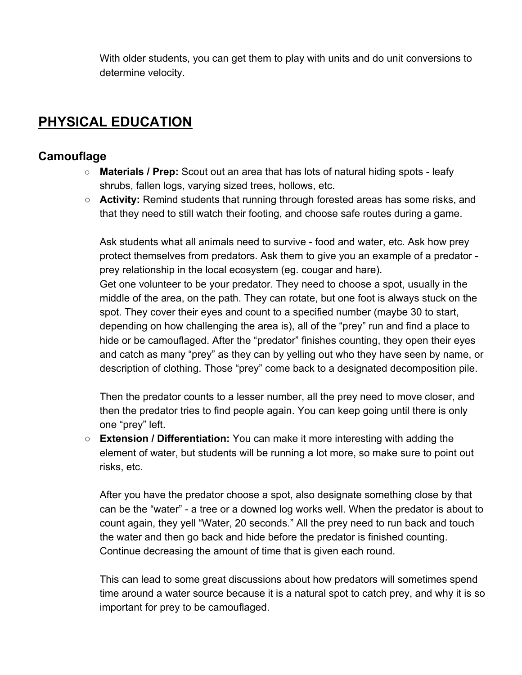With older students, you can get them to play with units and do unit conversions to determine velocity.

## **PHYSICAL EDUCATION**

#### **Camouflage**

- **○ Materials / Prep:** Scout out an area that has lots of natural hiding spots leafy shrubs, fallen logs, varying sized trees, hollows, etc.
- **Activity:** Remind students that running through forested areas has some risks, and that they need to still watch their footing, and choose safe routes during a game.

Ask students what all animals need to survive - food and water, etc. Ask how prey protect themselves from predators. Ask them to give you an example of a predator prey relationship in the local ecosystem (eg. cougar and hare). Get one volunteer to be your predator. They need to choose a spot, usually in the middle of the area, on the path. They can rotate, but one foot is always stuck on the spot. They cover their eyes and count to a specified number (maybe 30 to start, depending on how challenging the area is), all of the "prey" run and find a place to hide or be camouflaged. After the "predator" finishes counting, they open their eyes and catch as many "prey" as they can by yelling out who they have seen by name, or description of clothing. Those "prey" come back to a designated decomposition pile.

Then the predator counts to a lesser number, all the prey need to move closer, and then the predator tries to find people again. You can keep going until there is only one "prey" left.

○ **Extension / Differentiation:** You can make it more interesting with adding the element of water, but students will be running a lot more, so make sure to point out risks, etc.

After you have the predator choose a spot, also designate something close by that can be the "water" - a tree or a downed log works well. When the predator is about to count again, they yell "Water, 20 seconds." All the prey need to run back and touch the water and then go back and hide before the predator is finished counting. Continue decreasing the amount of time that is given each round.

This can lead to some great discussions about how predators will sometimes spend time around a water source because it is a natural spot to catch prey, and why it is so important for prey to be camouflaged.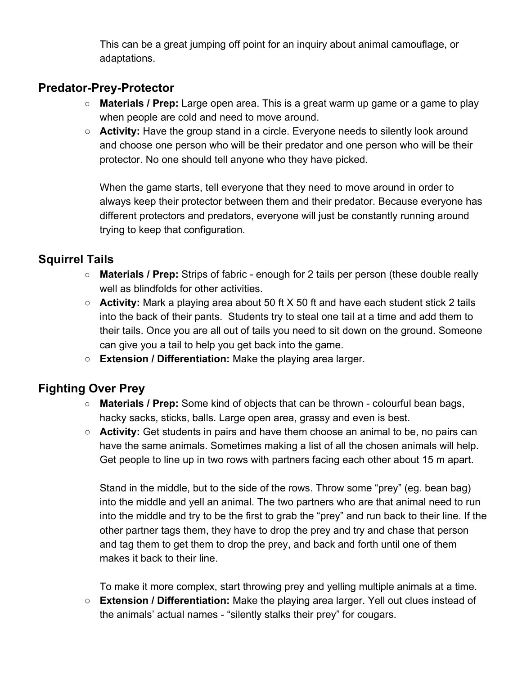This can be a great jumping off point for an inquiry about animal camouflage, or adaptations.

#### **Predator-Prey-Protector**

- **Materials / Prep:** Large open area. This is a great warm up game or a game to play when people are cold and need to move around.
- **Activity:** Have the group stand in a circle. Everyone needs to silently look around and choose one person who will be their predator and one person who will be their protector. No one should tell anyone who they have picked.

When the game starts, tell everyone that they need to move around in order to always keep their protector between them and their predator. Because everyone has different protectors and predators, everyone will just be constantly running around trying to keep that configuration.

## **Squirrel Tails**

- **Materials / Prep:** Strips of fabric enough for 2 tails per person (these double really well as blindfolds for other activities.
- **Activity:** Mark a playing area about 50 ft X 50 ft and have each student stick 2 tails into the back of their pants. Students try to steal one tail at a time and add them to their tails. Once you are all out of tails you need to sit down on the ground. Someone can give you a tail to help you get back into the game.
- **Extension / Differentiation:** Make the playing area larger.

## **Fighting Over Prey**

- **Materials / Prep:** Some kind of objects that can be thrown colourful bean bags, hacky sacks, sticks, balls. Large open area, grassy and even is best.
- **Activity:** Get students in pairs and have them choose an animal to be, no pairs can have the same animals. Sometimes making a list of all the chosen animals will help. Get people to line up in two rows with partners facing each other about 15 m apart.

Stand in the middle, but to the side of the rows. Throw some "prey" (eg. bean bag) into the middle and yell an animal. The two partners who are that animal need to run into the middle and try to be the first to grab the "prey" and run back to their line. If the other partner tags them, they have to drop the prey and try and chase that person and tag them to get them to drop the prey, and back and forth until one of them makes it back to their line.

To make it more complex, start throwing prey and yelling multiple animals at a time.

○ **Extension / Differentiation:** Make the playing area larger. Yell out clues instead of the animals' actual names - "silently stalks their prey" for cougars.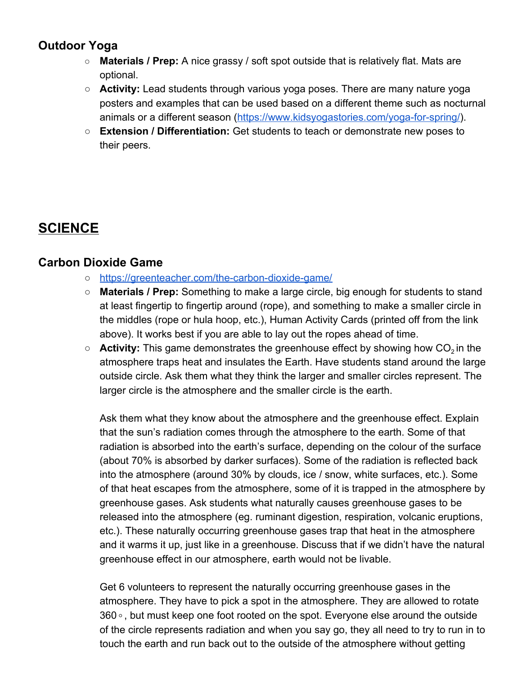### **Outdoor Yoga**

- **○ Materials / Prep:** A nice grassy / soft spot outside that is relatively flat. Mats are optional.
- **Activity:** Lead students through various yoga poses. There are many nature yoga posters and examples that can be used based on a different theme such as nocturnal animals or a different season [\(https://www.kidsyogastories.com/yoga-for-spring/\)](https://www.kidsyogastories.com/yoga-for-spring/).
- **Extension / Differentiation:** Get students to teach or demonstrate new poses to their peers.

## **SCIENCE**

#### **Carbon Dioxide Game**

- **○** <https://greenteacher.com/the-carbon-dioxide-game/>
- **○ Materials / Prep:** Something to make a large circle, big enough for students to stand at least fingertip to fingertip around (rope), and something to make a smaller circle in the middles (rope or hula hoop, etc.), Human Activity Cards (printed off from the link above). It works best if you are able to lay out the ropes ahead of time.
- Activity: This game demonstrates the greenhouse effect by showing how CO<sub>2</sub> in the atmosphere traps heat and insulates the Earth. Have students stand around the large outside circle. Ask them what they think the larger and smaller circles represent. The larger circle is the atmosphere and the smaller circle is the earth.

Ask them what they know about the atmosphere and the greenhouse effect. Explain that the sun's radiation comes through the atmosphere to the earth. Some of that radiation is absorbed into the earth's surface, depending on the colour of the surface (about 70% is absorbed by darker surfaces). Some of the radiation is reflected back into the atmosphere (around 30% by clouds, ice / snow, white surfaces, etc.). Some of that heat escapes from the atmosphere, some of it is trapped in the atmosphere by greenhouse gases. Ask students what naturally causes greenhouse gases to be released into the atmosphere (eg. ruminant digestion, respiration, volcanic eruptions, etc.). These naturally occurring greenhouse gases trap that heat in the atmosphere and it warms it up, just like in a greenhouse. Discuss that if we didn't have the natural greenhouse effect in our atmosphere, earth would not be livable.

Get 6 volunteers to represent the naturally occurring greenhouse gases in the atmosphere. They have to pick a spot in the atmosphere. They are allowed to rotate 360 ° , but must keep one foot rooted on the spot. Everyone else around the outside of the circle represents radiation and when you say go, they all need to try to run in to touch the earth and run back out to the outside of the atmosphere without getting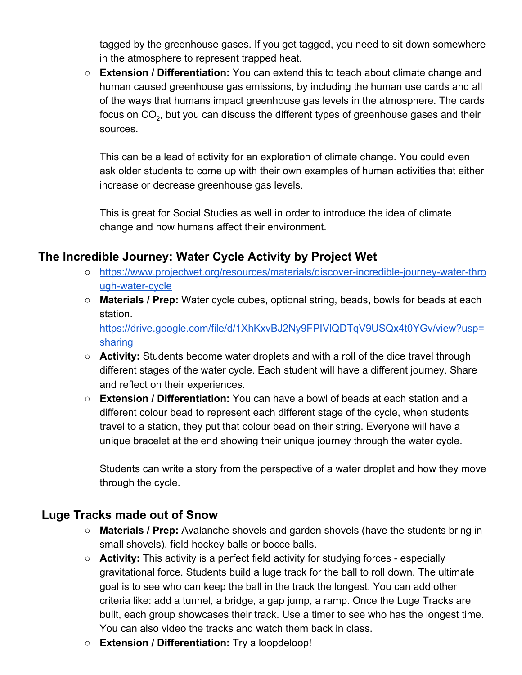tagged by the greenhouse gases. If you get tagged, you need to sit down somewhere in the atmosphere to represent trapped heat.

○ **Extension / Differentiation:** You can extend this to teach about climate change and human caused greenhouse gas emissions, by including the human use cards and all of the ways that humans impact greenhouse gas levels in the atmosphere. The cards focus on CO $_{\text{2}}$ , but you can discuss the different types of greenhouse gases and their sources.

This can be a lead of activity for an exploration of climate change. You could even ask older students to come up with their own examples of human activities that either increase or decrease greenhouse gas levels.

This is great for Social Studies as well in order to introduce the idea of climate change and how humans affect their environment.

#### **The Incredible Journey: Water Cycle Activity by Project Wet**

- **○** [https://www.projectwet.org/resources/materials/discover-incredible-journey-water-thro](https://www.projectwet.org/resources/materials/discover-incredible-journey-water-through-water-cycle) [ugh-water-cycle](https://www.projectwet.org/resources/materials/discover-incredible-journey-water-through-water-cycle)
- **○ Materials / Prep:** Water cycle cubes, optional string, beads, bowls for beads at each station. [https://drive.google.com/file/d/1XhKxvBJ2Ny9FPIVlQDTqV9USQx4t0YGv/view?usp=](https://drive.google.com/file/d/1XhKxvBJ2Ny9FPIVlQDTqV9USQx4t0YGv/view?usp=sharing)

[sharing](https://drive.google.com/file/d/1XhKxvBJ2Ny9FPIVlQDTqV9USQx4t0YGv/view?usp=sharing)

- **○ Activity:** Students become water droplets and with a roll of the dice travel through different stages of the water cycle. Each student will have a different journey. Share and reflect on their experiences.
- **○ Extension / Differentiation:** You can have a bowl of beads at each station and a different colour bead to represent each different stage of the cycle, when students travel to a station, they put that colour bead on their string. Everyone will have a unique bracelet at the end showing their unique journey through the water cycle.

Students can write a story from the perspective of a water droplet and how they move through the cycle.

#### **Luge Tracks made out of Snow**

- **○ Materials / Prep:** Avalanche shovels and garden shovels (have the students bring in small shovels), field hockey balls or bocce balls.
- **○ Activity:** This activity is a perfect field activity for studying forces especially gravitational force. Students build a luge track for the ball to roll down. The ultimate goal is to see who can keep the ball in the track the longest. You can add other criteria like: add a tunnel, a bridge, a gap jump, a ramp. Once the Luge Tracks are built, each group showcases their track. Use a timer to see who has the longest time. You can also video the tracks and watch them back in class.
- **Extension / Differentiation:** Try a loopdeloop!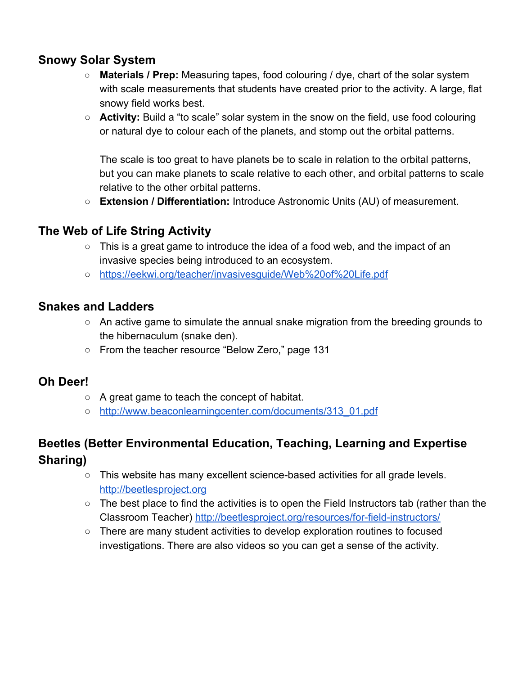#### **Snowy Solar System**

- **○ Materials / Prep:** Measuring tapes, food colouring / dye, chart of the solar system with scale measurements that students have created prior to the activity. A large, flat snowy field works best.
- **Activity:** Build a "to scale" solar system in the snow on the field, use food colouring or natural dye to colour each of the planets, and stomp out the orbital patterns.

The scale is too great to have planets be to scale in relation to the orbital patterns, but you can make planets to scale relative to each other, and orbital patterns to scale relative to the other orbital patterns.

**○ Extension / Differentiation:** Introduce Astronomic Units (AU) of measurement.

#### **The Web of Life String Activity**

- This is a great game to introduce the idea of a food web, and the impact of an invasive species being introduced to an ecosystem.
- <https://eekwi.org/teacher/invasivesguide/Web%20of%20Life.pdf>

#### **Snakes and Ladders**

- **○** An active game to simulate the annual snake migration from the breeding grounds to the hibernaculum (snake den).
- **○** From the teacher resource "Below Zero," page 131

#### **Oh Deer!**

- **○** A great game to teach the concept of habitat.
- [http://www.beaconlearningcenter.com/documents/313\\_01.pdf](http://www.beaconlearningcenter.com/documents/313_01.pdf)

## **Beetles (Better Environmental Education, Teaching, Learning and Expertise Sharing)**

- **○** This website has many excellent science-based activities for all grade levels. [http://beetlesproject.org](http://beetlesproject.org/)
- **○** The best place to find the activities is to open the Field Instructors tab (rather than the Classroom Teacher) <http://beetlesproject.org/resources/for-field-instructors/>
- **○** There are many student activities to develop exploration routines to focused investigations. There are also videos so you can get a sense of the activity.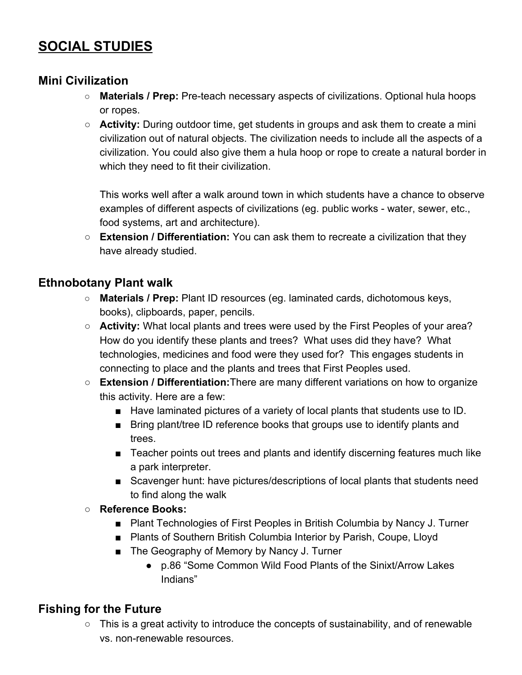## **SOCIAL STUDIES**

#### **Mini Civilization**

- **○ Materials / Prep:** Pre-teach necessary aspects of civilizations. Optional hula hoops or ropes.
- **Activity:** During outdoor time, get students in groups and ask them to create a mini civilization out of natural objects. The civilization needs to include all the aspects of a civilization. You could also give them a hula hoop or rope to create a natural border in which they need to fit their civilization.

This works well after a walk around town in which students have a chance to observe examples of different aspects of civilizations (eg. public works - water, sewer, etc., food systems, art and architecture).

○ **Extension / Differentiation:** You can ask them to recreate a civilization that they have already studied.

#### **Ethnobotany Plant walk**

- **○ Materials / Prep:** Plant ID resources (eg. laminated cards, dichotomous keys, books), clipboards, paper, pencils.
- **Activity:** What local plants and trees were used by the First Peoples of your area? How do you identify these plants and trees? What uses did they have? What technologies, medicines and food were they used for? This engages students in connecting to place and the plants and trees that First Peoples used.
- **Extension / Differentiation:**There are many different variations on how to organize this activity. Here are a few:
	- Have laminated pictures of a variety of local plants that students use to ID.
	- Bring plant/tree ID reference books that groups use to identify plants and trees.
	- Teacher points out trees and plants and identify discerning features much like a park interpreter.
	- Scavenger hunt: have pictures/descriptions of local plants that students need to find along the walk
- **○ Reference Books:**
	- Plant Technologies of First Peoples in British Columbia by Nancy J. Turner
	- Plants of Southern British Columbia Interior by Parish, Coupe, Lloyd
	- The Geography of Memory by Nancy J. Turner
		- p.86 "Some Common Wild Food Plants of the Sinixt/Arrow Lakes Indians"

## **Fishing for the Future**

○ This is a great activity to introduce the concepts of sustainability, and of renewable vs. non-renewable resources.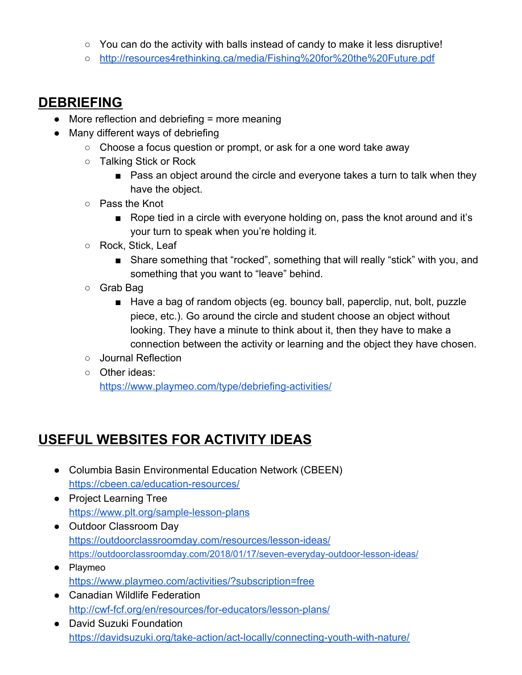- $\circ$  You can do the activity with balls instead of candy to make it less disruptive!
- <http://resources4rethinking.ca/media/Fishing%20for%20the%20Future.pdf>

## **DEBRIEFING**

- More reflection and debriefing = more meaning
- Many different ways of debriefing
	- Choose a focus question or prompt, or ask for a one word take away
	- Talking Stick or Rock
		- Pass an object around the circle and everyone takes a turn to talk when they have the object.
	- Pass the Knot
		- Rope tied in a circle with everyone holding on, pass the knot around and it's your turn to speak when you're holding it.
	- Rock, Stick, Leaf
		- Share something that "rocked", something that will really "stick" with you, and something that you want to "leave" behind.
	- Grab Bag
		- Have a bag of random objects (eg. bouncy ball, paperclip, nut, bolt, puzzle piece, etc.). Go around the circle and student choose an object without looking. They have a minute to think about it, then they have to make a connection between the activity or learning and the object they have chosen.
	- Journal Reflection
	- Other ideas:

<https://www.playmeo.com/type/debriefing-activities/>

## **USEFUL WEBSITES FOR ACTIVITY IDEAS**

- Columbia Basin Environmental Education Network (CBEEN) <https://cbeen.ca/education-resources/>
- Project Learning Tree <https://www.plt.org/sample-lesson-plans>
- Outdoor Classroom Day <https://outdoorclassroomday.com/resources/lesson-ideas/> <https://outdoorclassroomday.com/2018/01/17/seven-everyday-outdoor-lesson-ideas/>
- Playmeo <https://www.playmeo.com/activities/?subscription=free>
- Canadian Wildlife Federation <http://cwf-fcf.org/en/resources/for-educators/lesson-plans/>
- David Suzuki Foundation <https://davidsuzuki.org/take-action/act-locally/connecting-youth-with-nature/>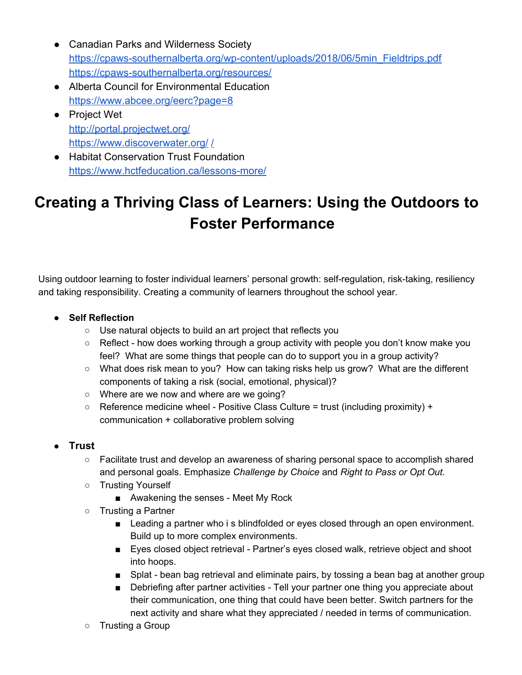- Canadian Parks and Wilderness Society [https://cpaws-southernalberta.org/wp-content/uploads/2018/06/5min\\_Fieldtrips.pdf](https://cpaws-southernalberta.org/wp-content/uploads/2018/06/5min_Fieldtrips.pdf) <https://cpaws-southernalberta.org/resources/>
- Alberta Council for Environmental Education <https://www.abcee.org/eerc?page=8>
- Project Wet <http://portal.projectwet.org/> <https://www.discoverwater.org/> [/](https://www.hctfeducation.ca/product/below-zero/)
- Habitat Conservation Trust Foundation <https://www.hctfeducation.ca/lessons-more/>

# **Creating a Thriving Class of Learners: Using the Outdoors to Foster Performance**

Using outdoor learning to foster individual learners' personal growth: self-regulation, risk-taking, resiliency and taking responsibility. Creating a community of learners throughout the school year.

- **● Self Reflection**
	- Use natural objects to build an art project that reflects you
	- $\circ$  Reflect how does working through a group activity with people you don't know make you feel? What are some things that people can do to support you in a group activity?
	- What does risk mean to you? How can taking risks help us grow? What are the different components of taking a risk (social, emotional, physical)?
	- Where are we now and where are we going?
	- $\circ$  Reference medicine wheel Positive Class Culture = trust (including proximity) + communication + collaborative problem solving
- **Trust**
	- Facilitate trust and develop an awareness of sharing personal space to accomplish shared and personal goals. Emphasize *Challenge by Choice* and *Right to Pass or Opt Out.*
	- Trusting Yourself
		- Awakening the senses Meet My Rock
	- Trusting a Partner
		- Leading a partner who i s blindfolded or eyes closed through an open environment. Build up to more complex environments.
		- Eyes closed object retrieval Partner's eyes closed walk, retrieve object and shoot into hoops.
		- Splat bean bag retrieval and eliminate pairs, by tossing a bean bag at another group
		- Debriefing after partner activities Tell your partner one thing you appreciate about their communication, one thing that could have been better. Switch partners for the next activity and share what they appreciated / needed in terms of communication.
	- Trusting a Group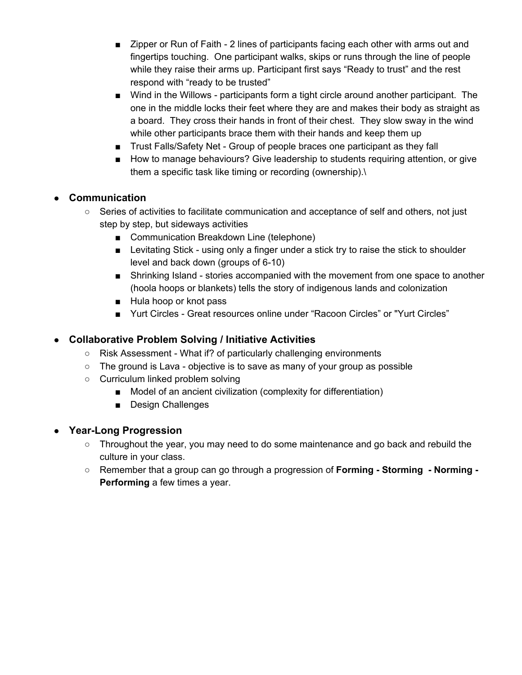- Zipper or Run of Faith 2 lines of participants facing each other with arms out and fingertips touching. One participant walks, skips or runs through the line of people while they raise their arms up. Participant first says "Ready to trust" and the rest respond with "ready to be trusted"
- Wind in the Willows participants form a tight circle around another participant. The one in the middle locks their feet where they are and makes their body as straight as a board. They cross their hands in front of their chest. They slow sway in the wind while other participants brace them with their hands and keep them up
- Trust Falls/Safety Net Group of people braces one participant as they fall
- How to manage behaviours? Give leadership to students requiring attention, or give them a specific task like timing or recording (ownership).\

#### ● **Communication**

- Series of activities to facilitate communication and acceptance of self and others, not just step by step, but sideways activities
	- Communication Breakdown Line (telephone)
	- Levitating Stick using only a finger under a stick try to raise the stick to shoulder level and back down (groups of 6-10)
	- Shrinking Island stories accompanied with the movement from one space to another (hoola hoops or blankets) tells the story of indigenous lands and colonization
	- Hula hoop or knot pass
	- Yurt Circles Great resources online under "Racoon Circles" or "Yurt Circles"

#### ● **Collaborative Problem Solving / Initiative Activities**

- Risk Assessment What if? of particularly challenging environments
- The ground is Lava objective is to save as many of your group as possible
- Curriculum linked problem solving
	- Model of an ancient civilization (complexity for differentiation)
	- Design Challenges

#### ● **Year-Long Progression**

- Throughout the year, you may need to do some maintenance and go back and rebuild the culture in your class.
- Remember that a group can go through a progression of **Forming - Storming - Norming - Performing** a few times a year.